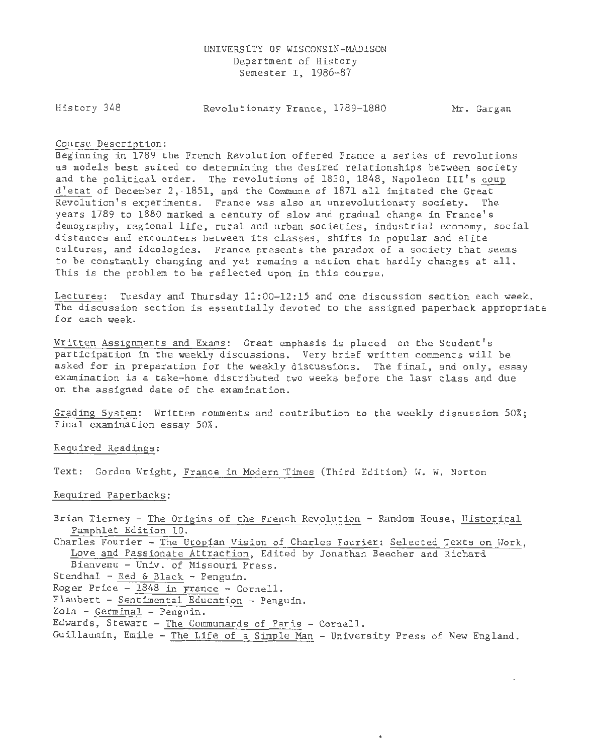### UNIVERSITY OF WISCONSIN-MADISON Department of History Semester I, 1986-87

History 348

Revolutionary France, 1789-1880 Mr. Gargan

#### Course Description:

Beginning in 1789 the French Revolution offered France a series of revolutions as models best suited to determining the desired relationships between society and the political order. The revolutions of 1830, 1848, Napoleon III's coup d'etat of December 2, 1851, and the Commune of 1871 all imitated the Great Revolution's experiments. France was also an unrevolutionary society. The years 1789 to 1880 marked a century of slow and gradual change in France's demography, regional life, rural and urban societies, industrial economy, social distances and encounters between its classes, shifts in popular and elite cultures, and ideologies. France presents the paradox of a society that seems to be constantly changing and yet remains a nation that hardly changes at all. This is the problem to be reflected upon in this course.

Lectures: Tuesday and Thursday 11:00-12:15 and one discussion section each week. The discussion section is essentially devoted to the assigned paperback appropriate for each week.

Written Assignments and Exams: Great emphasis is placed on the Student's participation in the weekly discussions. Very brief written comments will be asked for in preparation for the weekly discussions. The final, and only, essay examination is a take-home distributed two weeks before the last class and due on the assigned date of the examination.

Grading System: Written comments and contribution to the weekly discussion 50%; Final examination essay 50%.

Required Readings:

Text: Gordon Wright, France in Modern Times (Third Edition) W. W. Norton

Required Paperbacks:

Brian Tierney - The Origins of the French Revolution - Random House, Historical Pamphlet Edition 10.

Charles Fourier - The Utopian Vision of Charles Fourier: Selected Texts on Work, Love and Passionate Attraction, Edited by Jonathan Beecher and Richard Bienvenu - Univ. of Missouri Press.

- Stendhal Red & Black Penguin.
- Roger Price 1848 in France Cornell.
- Flaubert Sentimental Education Penguin.
- Zola Germinal Penguin.
- Edwards, Stewart The Communards of Paris Cornell.
- Guillaumin, Emile The Life of a Simple Man University Press of New England.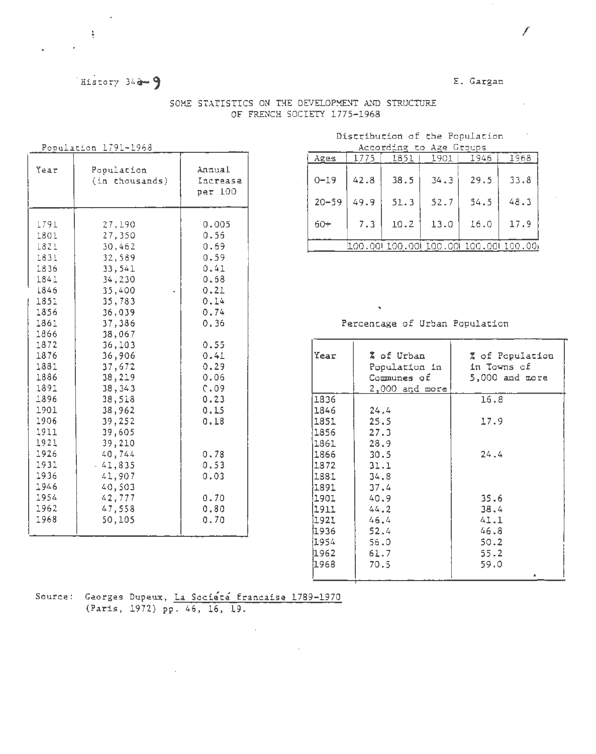# History  $34a - 9$

 $\lambda$ 

 $\frac{1}{2}$ 

## E. Gargan

|                                                                                                                                                                                                                              | Population 1791-1968                                                                                                                                                                                                                                                                    |                                                                                                                                                                                               |  |  |  |  |
|------------------------------------------------------------------------------------------------------------------------------------------------------------------------------------------------------------------------------|-----------------------------------------------------------------------------------------------------------------------------------------------------------------------------------------------------------------------------------------------------------------------------------------|-----------------------------------------------------------------------------------------------------------------------------------------------------------------------------------------------|--|--|--|--|
| Year                                                                                                                                                                                                                         | Population<br>(in chousands)                                                                                                                                                                                                                                                            | Annual<br>Increase<br>per 100                                                                                                                                                                 |  |  |  |  |
| 1791<br>1801<br>1821<br>1831<br>1836<br>1841<br>1846<br>1851<br>1856<br>1861<br>1866<br>1872<br>1876<br>1881<br>1886<br>1891<br>1896<br>1901<br>1906<br>1911<br>1921<br>1926<br>1931<br>1936<br>1946<br>1954<br>1962<br>1968 | 27,190<br>27,350<br>30,462<br>32,589<br>33,541<br>34,230<br>35,400<br>35,783<br>36,039<br>37,386<br>38,067<br>36,103<br>36,906<br>37,672<br>38,219<br>38,343<br>38,518<br>38,962<br>39,252<br>39,605<br>39,210<br>40,744<br>$-41,835$<br>41,907<br>40,503<br>42,777<br>47,558<br>50,105 | 0.005<br>0.56<br>0.69<br>0.59<br>0.41<br>0.68<br>0.21<br>0.14<br>0.74<br>0.36<br>0.55<br>0.41<br>0.29<br>0.06<br>C.09<br>0.23<br>0.15<br>0.18<br>0.78<br>0.53<br>0.03<br>0.70<br>0.80<br>0.70 |  |  |  |  |

## SOME STATISTICS ON THE DEVELOPMENT AND STRUCTURE OF FRENCH SOCIETY 1775-1968

Distribution of the Population

| According to Age Groups |      |                                         |      |      |      |  |  |  |  |  |
|-------------------------|------|-----------------------------------------|------|------|------|--|--|--|--|--|
| Ages                    | 1775 | 1851                                    | 1901 | 1946 | 1968 |  |  |  |  |  |
| $0 - 19$                | 42.8 | 38.5                                    | 34.3 | 29.5 | 33.8 |  |  |  |  |  |
| $20 - 59$               | 49.9 | 51.3                                    | 52.7 | 54.5 | 48.3 |  |  |  |  |  |
| $60+$                   | 7.3  | 10.2                                    | 13.0 | 16.0 | 17.9 |  |  |  |  |  |
|                         |      | 100.001 100.001 100.001 100.001 100.001 |      |      |      |  |  |  |  |  |

Percentage of Urban Population

| Year | X of Urban<br>Population in<br>Communes of<br>$2,000$ and more | Z of Population<br>in Towns of<br>5,000 and more |  |  |  |  |  |
|------|----------------------------------------------------------------|--------------------------------------------------|--|--|--|--|--|
| 1836 |                                                                | 16.8                                             |  |  |  |  |  |
| 1846 | 24.4                                                           |                                                  |  |  |  |  |  |
| 1851 | 25.5                                                           | 17.9                                             |  |  |  |  |  |
| 1856 | 27.3                                                           |                                                  |  |  |  |  |  |
| 1861 | 28.9                                                           |                                                  |  |  |  |  |  |
| 1866 | 30.5                                                           | 24.4                                             |  |  |  |  |  |
| 1872 | 31.1                                                           |                                                  |  |  |  |  |  |
| 1881 | 34.8                                                           |                                                  |  |  |  |  |  |
| 1891 | 37,4                                                           |                                                  |  |  |  |  |  |
| 1901 | 40.9                                                           | 35.6                                             |  |  |  |  |  |
| 1911 | 44.2                                                           | 38.4                                             |  |  |  |  |  |
| 1921 | 46.4                                                           | 41.1                                             |  |  |  |  |  |
| 1936 | 52.4                                                           | 46.8                                             |  |  |  |  |  |
| 1954 | 56.0                                                           | 50.2                                             |  |  |  |  |  |
| 1962 | 61.7                                                           | 55.2                                             |  |  |  |  |  |
| 1968 | 70.5                                                           | 59.0                                             |  |  |  |  |  |
|      |                                                                |                                                  |  |  |  |  |  |

Source: Georges Dupeux, La Société francaise 1789-1970<br>(Paris, 1972) pp. 46, 16, 19.